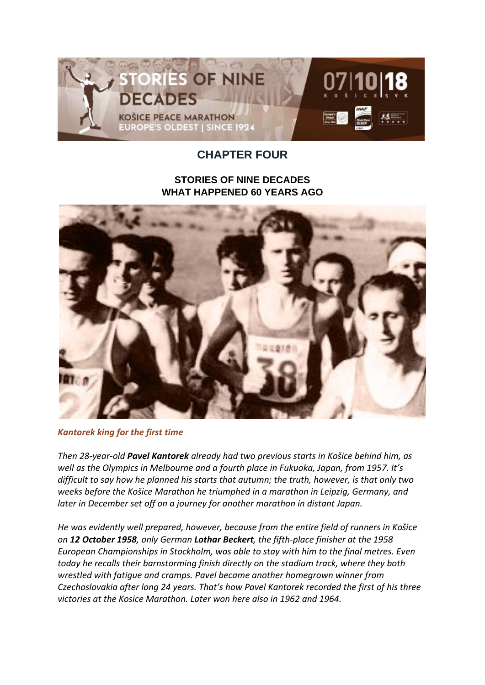

## **CHAPTER FOUR**

## **STORIES OF NINE DECADES WHAT HAPPENED 60 YEARS AGO**



*Kantorek king for the first time*

*Then 28-year-old Pavel Kantorek already had two previous starts in Košice behind him, as well as the Olympics in Melbourne and a fourth place in Fukuoka, Japan, from 1957. It's difficult to say how he planned his starts that autumn; the truth, however, is that only two weeks before the Košice Marathon he triumphed in a marathon in Leipzig, Germany, and later in December set off on a journey for another marathon in distant Japan.*

*He was evidently well prepared, however, because from the entire field of runners in Košice on 12 October 1958, only German Lothar Beckert, the fifth-place finisher at the 1958 European Championships in Stockholm, was able to stay with him to the final metres. Even today he recalls their barnstorming finish directly on the stadium track, where they both wrestled with fatigue and cramps. Pavel became another homegrown winner from Czechoslovakia after long 24 years. That's how Pavel Kantorek recorded the first of his three victories at the Kosice Marathon. Later won here also in 1962 and 1964.*